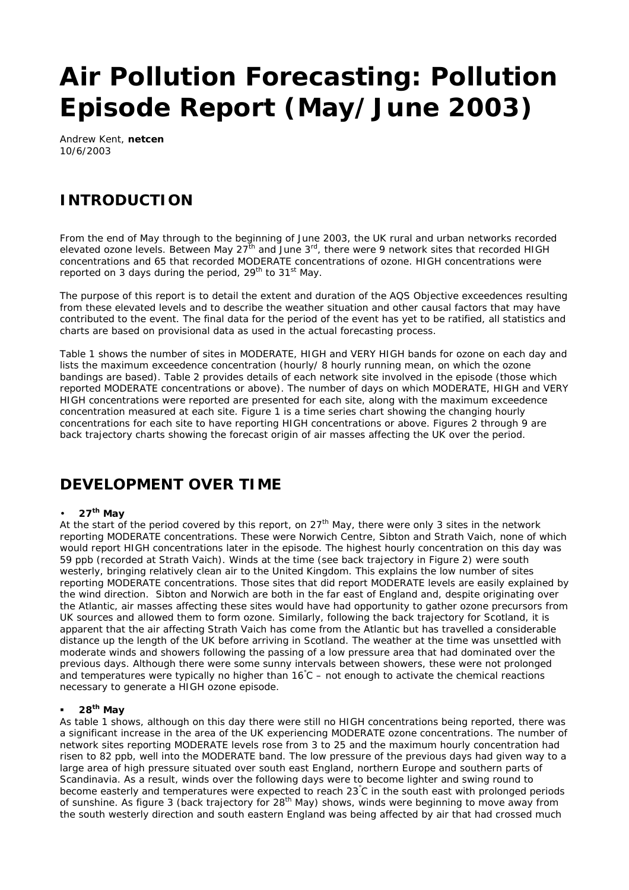# **Air Pollution Forecasting: Pollution Episode Report (May/June 2003)**

Andrew Kent, **netcen** 10/6/2003

## **INTRODUCTION**

From the end of May through to the beginning of June 2003, the UK rural and urban networks recorded elevated ozone levels. Between May 27<sup>th</sup> and June 3<sup>rd</sup>, there were 9 network sites that recorded HIGH concentrations and 65 that recorded MODERATE concentrations of ozone. HIGH concentrations were reported on 3 days during the period, 29<sup>th</sup> to 31<sup>st</sup> May.

The purpose of this report is to detail the extent and duration of the AQS Objective exceedences resulting from these elevated levels and to describe the weather situation and other causal factors that may have contributed to the event. The final data for the period of the event has yet to be ratified, all statistics and charts are based on provisional data as used in the actual forecasting process.

Table 1 shows the number of sites in MODERATE, HIGH and VERY HIGH bands for ozone on each day and lists the maximum exceedence concentration (hourly/ 8 hourly running mean, on which the ozone bandings are based). Table 2 provides details of each network site involved in the episode (those which reported MODERATE concentrations or above). The number of days on which MODERATE, HIGH and VERY HIGH concentrations were reported are presented for each site, along with the maximum exceedence concentration measured at each site. Figure 1 is a time series chart showing the changing hourly concentrations for each site to have reporting HIGH concentrations or above. Figures 2 through 9 are back trajectory charts showing the forecast origin of air masses affecting the UK over the period.

## **DEVELOPMENT OVER TIME**

#### • **27th May**

At the start of the period covered by this report, on 27<sup>th</sup> May, there were only 3 sites in the network reporting MODERATE concentrations. These were Norwich Centre, Sibton and Strath Vaich, none of which would report HIGH concentrations later in the episode. The highest hourly concentration on this day was 59 ppb (recorded at Strath Vaich). Winds at the time (see back trajectory in Figure 2) were south westerly, bringing relatively clean air to the United Kingdom. This explains the low number of sites reporting MODERATE concentrations. Those sites that did report MODERATE levels are easily explained by the wind direction. Sibton and Norwich are both in the far east of England and, despite originating over the Atlantic, air masses affecting these sites would have had opportunity to gather ozone precursors from UK sources and allowed them to form ozone. Similarly, following the back trajectory for Scotland, it is apparent that the air affecting Strath Vaich has come from the Atlantic but has travelled a considerable distance up the length of the UK before arriving in Scotland. The weather at the time was unsettled with moderate winds and showers following the passing of a low pressure area that had dominated over the previous days. Although there were some sunny intervals between showers, these were not prolonged and temperatures were typically no higher than 16°C – not enough to activate the chemical reactions necessary to generate a HIGH ozone episode.

#### ß **28th May**

As table 1 shows, although on this day there were still no HIGH concentrations being reported, there was a significant increase in the area of the UK experiencing MODERATE ozone concentrations. The number of network sites reporting MODERATE levels rose from 3 to 25 and the maximum hourly concentration had risen to 82 ppb, well into the MODERATE band. The low pressure of the previous days had given way to a large area of high pressure situated over south east England, northern Europe and southern parts of Scandinavia. As a result, winds over the following days were to become lighter and swing round to become easterly and temperatures were expected to reach 23°C in the south east with prolonged periods of sunshine. As figure 3 (back trajectory for 28<sup>th</sup> May) shows, winds were beginning to move away from the south westerly direction and south eastern England was being affected by air that had crossed much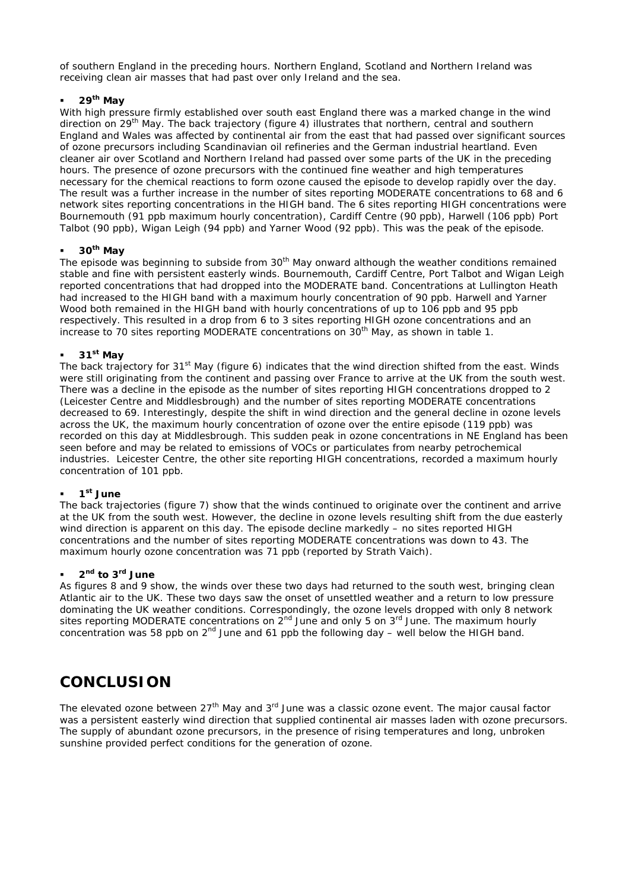of southern England in the preceding hours. Northern England, Scotland and Northern Ireland was receiving clean air masses that had past over only Ireland and the sea.

#### ß **29th May**

With high pressure firmly established over south east England there was a marked change in the wind direction on 29th May. The back trajectory (figure 4) illustrates that northern, central and southern England and Wales was affected by continental air from the east that had passed over significant sources of ozone precursors including Scandinavian oil refineries and the German industrial heartland. Even cleaner air over Scotland and Northern Ireland had passed over some parts of the UK in the preceding hours. The presence of ozone precursors with the continued fine weather and high temperatures necessary for the chemical reactions to form ozone caused the episode to develop rapidly over the day. The result was a further increase in the number of sites reporting MODERATE concentrations to 68 and 6 network sites reporting concentrations in the HIGH band. The 6 sites reporting HIGH concentrations were Bournemouth (91 ppb maximum hourly concentration), Cardiff Centre (90 ppb), Harwell (106 ppb) Port Talbot (90 ppb), Wigan Leigh (94 ppb) and Yarner Wood (92 ppb). This was the peak of the episode.

#### ß **30th May**

The episode was beginning to subside from 30<sup>th</sup> May onward although the weather conditions remained stable and fine with persistent easterly winds. Bournemouth, Cardiff Centre, Port Talbot and Wigan Leigh reported concentrations that had dropped into the MODERATE band. Concentrations at Lullington Heath had increased to the HIGH band with a maximum hourly concentration of 90 ppb. Harwell and Yarner Wood both remained in the HIGH band with hourly concentrations of up to 106 ppb and 95 ppb respectively. This resulted in a drop from 6 to 3 sites reporting HIGH ozone concentrations and an increase to 70 sites reporting MODERATE concentrations on 30th May, as shown in table 1.

#### ß **31st May**

The back trajectory for 31<sup>st</sup> May (figure 6) indicates that the wind direction shifted from the east. Winds were still originating from the continent and passing over France to arrive at the UK from the south west. There was a decline in the episode as the number of sites reporting HIGH concentrations dropped to 2 (Leicester Centre and Middlesbrough) and the number of sites reporting MODERATE concentrations decreased to 69. Interestingly, despite the shift in wind direction and the general decline in ozone levels across the UK, the maximum hourly concentration of ozone over the entire episode (119 ppb) was recorded on this day at Middlesbrough. This sudden peak in ozone concentrations in NE England has been seen before and may be related to emissions of VOCs or particulates from nearby petrochemical industries. Leicester Centre, the other site reporting HIGH concentrations, recorded a maximum hourly concentration of 101 ppb.

#### ß **1 st June**

The back trajectories (figure 7) show that the winds continued to originate over the continent and arrive at the UK from the south west. However, the decline in ozone levels resulting shift from the due easterly wind direction is apparent on this day. The episode decline markedly – no sites reported HIGH concentrations and the number of sites reporting MODERATE concentrations was down to 43. The maximum hourly ozone concentration was 71 ppb (reported by Strath Vaich).

#### ß **2 nd to 3rd June**

As figures 8 and 9 show, the winds over these two days had returned to the south west, bringing clean Atlantic air to the UK. These two days saw the onset of unsettled weather and a return to low pressure dominating the UK weather conditions. Correspondingly, the ozone levels dropped with only 8 network sites reporting MODERATE concentrations on  $2^{nd}$  June and only 5 on  $3^{rd}$  June. The maximum hourly concentration was 58 ppb on  $2^{nd}$  June and 61 ppb the following day – well below the HIGH band.

## **CONCLUSION**

The elevated ozone between 27<sup>th</sup> May and 3<sup>rd</sup> June was a classic ozone event. The major causal factor was a persistent easterly wind direction that supplied continental air masses laden with ozone precursors. The supply of abundant ozone precursors, in the presence of rising temperatures and long, unbroken sunshine provided perfect conditions for the generation of ozone.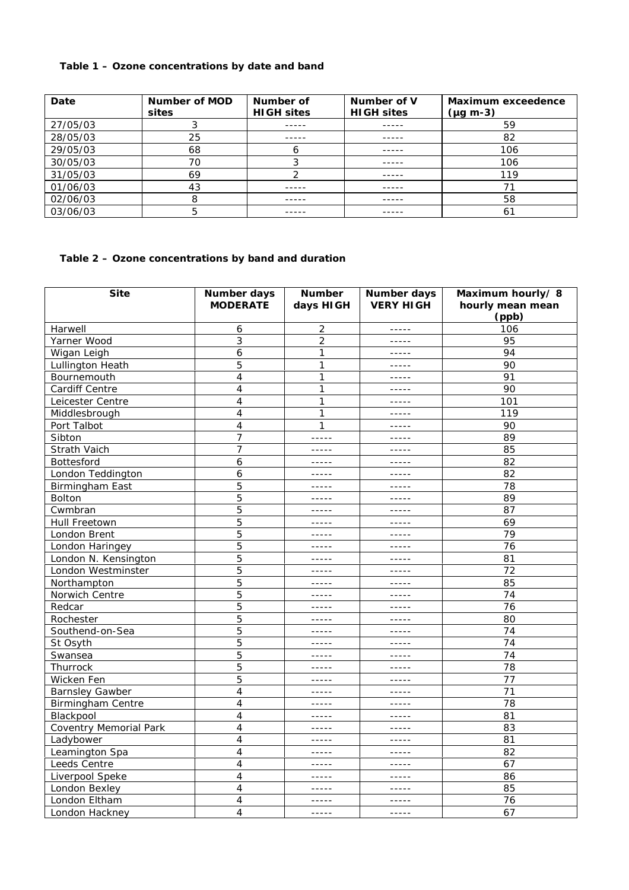### **Table 1 – Ozone concentrations by date and band**

| Date     | Number of MOD<br>sites | Number of<br><b>HIGH sites</b> | Number of V<br><b>HIGH sites</b> | <b>Maximum exceedence</b><br>$(\mu g \, m-3)$ |
|----------|------------------------|--------------------------------|----------------------------------|-----------------------------------------------|
| 27/05/03 |                        |                                | -----                            | 59                                            |
| 28/05/03 | 25                     |                                |                                  | 82                                            |
| 29/05/03 | 68                     |                                | -----                            | 106                                           |
| 30/05/03 | 70                     |                                |                                  | 106                                           |
| 31/05/03 | 69                     |                                |                                  | 119                                           |
| 01/06/03 | 43                     |                                |                                  |                                               |
| 02/06/03 |                        | -----                          | -----                            | 58                                            |
| 03/06/03 |                        |                                |                                  |                                               |

#### **Table 2 – Ozone concentrations by band and duration**

| <b>Site</b>                   | <b>Number days</b><br><b>MODERATE</b> | <b>Number</b><br>days HIGH                                                                                                                                                                                                                                                                                                                                                                   | Number days<br><b>VERY HIGH</b> | Maximum hourly/8<br>hourly mean mean<br>(ppb) |
|-------------------------------|---------------------------------------|----------------------------------------------------------------------------------------------------------------------------------------------------------------------------------------------------------------------------------------------------------------------------------------------------------------------------------------------------------------------------------------------|---------------------------------|-----------------------------------------------|
| Harwell                       | 6                                     | $\overline{\mathbf{c}}$                                                                                                                                                                                                                                                                                                                                                                      | $- - - - -$                     | 106                                           |
| Yarner Wood                   | 3                                     | $\overline{2}$                                                                                                                                                                                                                                                                                                                                                                               | $- - - - -$                     | 95                                            |
| Wigan Leigh                   | 6                                     | 1                                                                                                                                                                                                                                                                                                                                                                                            | $- - - - - -$                   | 94                                            |
| Lullington Heath              | 5                                     | 1                                                                                                                                                                                                                                                                                                                                                                                            | $- - - - - -$                   | 90                                            |
| Bournemouth                   | $\overline{4}$                        | 1                                                                                                                                                                                                                                                                                                                                                                                            | $- - - - - -$                   | 91                                            |
| Cardiff Centre                | 4                                     | $\mathbf{1}$                                                                                                                                                                                                                                                                                                                                                                                 | $- - - - - -$                   | 90                                            |
| Leicester Centre              | $\overline{4}$                        | $\mathbf{1}$                                                                                                                                                                                                                                                                                                                                                                                 | $- - - - - -$                   | 101                                           |
| Middlesbrough                 | $\overline{4}$                        | $\mathbf{1}$                                                                                                                                                                                                                                                                                                                                                                                 | $- - - - -$                     | 119                                           |
| Port Talbot                   | $\overline{4}$                        | 1                                                                                                                                                                                                                                                                                                                                                                                            | -----                           | 90                                            |
| Sibton                        | 7                                     | -----                                                                                                                                                                                                                                                                                                                                                                                        | $- - - - - -$                   | 89                                            |
| Strath Vaich                  | 7                                     | $- - - - -$                                                                                                                                                                                                                                                                                                                                                                                  | $- - - - -$                     | 85                                            |
| <b>Bottesford</b>             | 6                                     | -----                                                                                                                                                                                                                                                                                                                                                                                        | $- - - - - -$                   | 82                                            |
| London Teddington             | 6                                     | $- - - - -$                                                                                                                                                                                                                                                                                                                                                                                  | $- - - - - -$                   | 82                                            |
| Birmingham East               | 5                                     | -----                                                                                                                                                                                                                                                                                                                                                                                        | $- - - - -$                     | 78                                            |
| <b>Bolton</b>                 | 5                                     | $- - - - -$                                                                                                                                                                                                                                                                                                                                                                                  | $- - - - -$                     | 89                                            |
| Cwmbran                       | 5                                     | $- - - - -$                                                                                                                                                                                                                                                                                                                                                                                  | $- - - - -$                     | 87                                            |
| Hull Freetown                 | 5                                     | $- - - - -$                                                                                                                                                                                                                                                                                                                                                                                  | $- - - - - -$                   | 69                                            |
| London Brent                  | 5                                     | $- - - - - -$                                                                                                                                                                                                                                                                                                                                                                                | $- - - - -$                     | 79                                            |
| London Haringey               | 5                                     | $- - - - -$                                                                                                                                                                                                                                                                                                                                                                                  | $- - - - -$                     | 76                                            |
| London N. Kensington          | 5                                     | $- - - - -$                                                                                                                                                                                                                                                                                                                                                                                  | $- - - - -$                     | 81                                            |
| London Westminster            | 5                                     | $- - - - -$                                                                                                                                                                                                                                                                                                                                                                                  | $- - - - -$                     | 72                                            |
| Northampton                   | 5                                     | $- - - - -$                                                                                                                                                                                                                                                                                                                                                                                  | $- - - - -$                     | 85                                            |
| Norwich Centre                | 5                                     | $- - - - -$                                                                                                                                                                                                                                                                                                                                                                                  | $- - - - -$                     | 74                                            |
| Redcar                        | 5                                     | -----                                                                                                                                                                                                                                                                                                                                                                                        | -----                           | 76                                            |
| Rochester                     | 5                                     | $- - - - -$                                                                                                                                                                                                                                                                                                                                                                                  | -----                           | 80                                            |
| Southend-on-Sea               | 5                                     | $- - - - - -$                                                                                                                                                                                                                                                                                                                                                                                | $- - - - - -$                   | 74                                            |
| St Osyth                      | 5                                     | $- - - - -$                                                                                                                                                                                                                                                                                                                                                                                  | $- - - - -$                     | 74                                            |
| Swansea                       | 5                                     | $- - - - -$                                                                                                                                                                                                                                                                                                                                                                                  | $- - - - - -$                   | 74                                            |
| Thurrock                      | 5                                     | $- - - - -$                                                                                                                                                                                                                                                                                                                                                                                  | $- - - - -$                     | 78                                            |
| Wicken Fen                    | 5                                     | -----                                                                                                                                                                                                                                                                                                                                                                                        | -----                           | 77                                            |
| <b>Barnsley Gawber</b>        | $\overline{4}$                        | $\frac{1}{2} \frac{1}{2} \frac{1}{2} \frac{1}{2} \frac{1}{2} \frac{1}{2} \frac{1}{2} \frac{1}{2} \frac{1}{2} \frac{1}{2} \frac{1}{2} \frac{1}{2} \frac{1}{2} \frac{1}{2} \frac{1}{2} \frac{1}{2} \frac{1}{2} \frac{1}{2} \frac{1}{2} \frac{1}{2} \frac{1}{2} \frac{1}{2} \frac{1}{2} \frac{1}{2} \frac{1}{2} \frac{1}{2} \frac{1}{2} \frac{1}{2} \frac{1}{2} \frac{1}{2} \frac{1}{2} \frac{$ | $- - - - -$                     | 71                                            |
| <b>Birmingham Centre</b>      | 4                                     | $- - - - -$                                                                                                                                                                                                                                                                                                                                                                                  | $- - - - - -$                   | 78                                            |
| Blackpool                     | $\overline{4}$                        | $- - - - -$                                                                                                                                                                                                                                                                                                                                                                                  | $- - - - -$                     | 81                                            |
| <b>Coventry Memorial Park</b> | 4                                     | $- - - - -$                                                                                                                                                                                                                                                                                                                                                                                  | $- - - - - -$                   | 83                                            |
| Ladybower                     | 4                                     | $- - - - -$                                                                                                                                                                                                                                                                                                                                                                                  | $\frac{1}{2}$                   | 81                                            |
| Leamington Spa                | 4                                     | $- - - - - -$                                                                                                                                                                                                                                                                                                                                                                                | $- - - - - -$                   | 82                                            |
| Leeds Centre                  | $\overline{4}$                        | $- - - - -$                                                                                                                                                                                                                                                                                                                                                                                  | $- - - - -$                     | 67                                            |
| Liverpool Speke               | 4                                     | $- - - - -$                                                                                                                                                                                                                                                                                                                                                                                  | $- - - - - -$                   | 86                                            |
| London Bexley                 | $\overline{4}$                        | $\frac{1}{2} \frac{1}{2} \frac{1}{2} \frac{1}{2} \frac{1}{2} \frac{1}{2} \frac{1}{2} \frac{1}{2} \frac{1}{2} \frac{1}{2} \frac{1}{2} \frac{1}{2} \frac{1}{2} \frac{1}{2} \frac{1}{2} \frac{1}{2} \frac{1}{2} \frac{1}{2} \frac{1}{2} \frac{1}{2} \frac{1}{2} \frac{1}{2} \frac{1}{2} \frac{1}{2} \frac{1}{2} \frac{1}{2} \frac{1}{2} \frac{1}{2} \frac{1}{2} \frac{1}{2} \frac{1}{2} \frac{$ | $- - - - - -$                   | 85                                            |
| London Eltham                 | $\overline{4}$                        | $- - - - -$                                                                                                                                                                                                                                                                                                                                                                                  | $- - - - -$                     | 76                                            |
| London Hackney                | $\overline{4}$                        | $- - - - -$                                                                                                                                                                                                                                                                                                                                                                                  | $- - - - -$                     | 67                                            |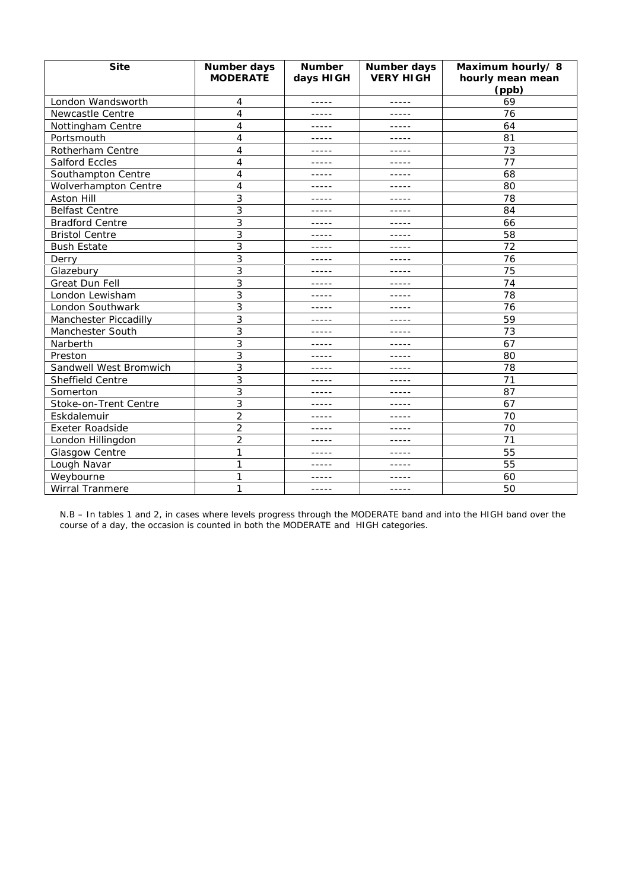| <b>Site</b>             | <b>Number days</b><br><b>MODERATE</b> | <b>Number</b><br>days HIGH | Number days<br><b>VERY HIGH</b> | Maximum hourly/8<br>hourly mean mean<br>(ppb) |
|-------------------------|---------------------------------------|----------------------------|---------------------------------|-----------------------------------------------|
| London Wandsworth       | 4                                     | -----                      | -----                           | 69                                            |
| <b>Newcastle Centre</b> | 4                                     | -----                      | -----                           | 76                                            |
| Nottingham Centre       | 4                                     | -----                      | -----                           | 64                                            |
| Portsmouth              | 4                                     | -----                      | -----                           | 81                                            |
| Rotherham Centre        | 4                                     | -----                      | -----                           | 73                                            |
| <b>Salford Eccles</b>   | 4                                     | $- - - - -$                | -----                           | 77                                            |
| Southampton Centre      | 4                                     | -----                      | -----                           | 68                                            |
| Wolverhampton Centre    | 4                                     | -----                      | -----                           | 80                                            |
| Aston Hill              | 3                                     | -----                      | -----                           | 78                                            |
| <b>Belfast Centre</b>   | 3                                     | -----                      | -----                           | 84                                            |
| <b>Bradford Centre</b>  | 3                                     | -----                      | -----                           | 66                                            |
| <b>Bristol Centre</b>   | 3                                     | -----                      | -----                           | 58                                            |
| <b>Bush Estate</b>      | 3                                     | $- - - - -$                | -----                           | 72                                            |
| Derry                   | 3                                     | $- - - - - -$              | -----                           | 76                                            |
| Glazebury               | 3                                     | -----                      | -----                           | 75                                            |
| Great Dun Fell          | 3                                     | -----                      | -----                           | 74                                            |
| London Lewisham         | 3                                     | -----                      | -----                           | 78                                            |
| London Southwark        | 3                                     | -----                      | -----                           | 76                                            |
| Manchester Piccadilly   | 3                                     | -----                      | -----                           | 59                                            |
| Manchester South        | 3                                     | -----                      | -----                           | 73                                            |
| Narberth                | 3                                     | -----                      | -----                           | 67                                            |
| Preston                 | 3                                     | -----                      | -----                           | 80                                            |
| Sandwell West Bromwich  | 3                                     | -----                      | -----                           | 78                                            |
| Sheffield Centre        | 3                                     | -----                      | -----                           | 71                                            |
| Somerton                | 3                                     | -----                      | -----                           | 87                                            |
| Stoke-on-Trent Centre   | 3                                     | -----                      | -----                           | 67                                            |
| Eskdalemuir             | $\overline{2}$                        | -----                      | -----                           | 70                                            |
| <b>Exeter Roadside</b>  | $\overline{2}$                        | -----                      | -----                           | 70                                            |
| London Hillingdon       | 2                                     | -----                      |                                 | 71                                            |
| Glasgow Centre          | 1                                     | -----                      | -----                           | 55                                            |
| Lough Navar             | 1                                     | -----                      | -----                           | 55                                            |
| Weybourne               | 1                                     | -----                      | -----                           | 60                                            |
| <b>Wirral Tranmere</b>  | 1                                     | -----                      | -----                           | 50                                            |

N.B – In tables 1 and 2, in cases where levels progress through the MODERATE band and into the HIGH band over the course of a day, the occasion is counted in both the MODERATE and HIGH categories.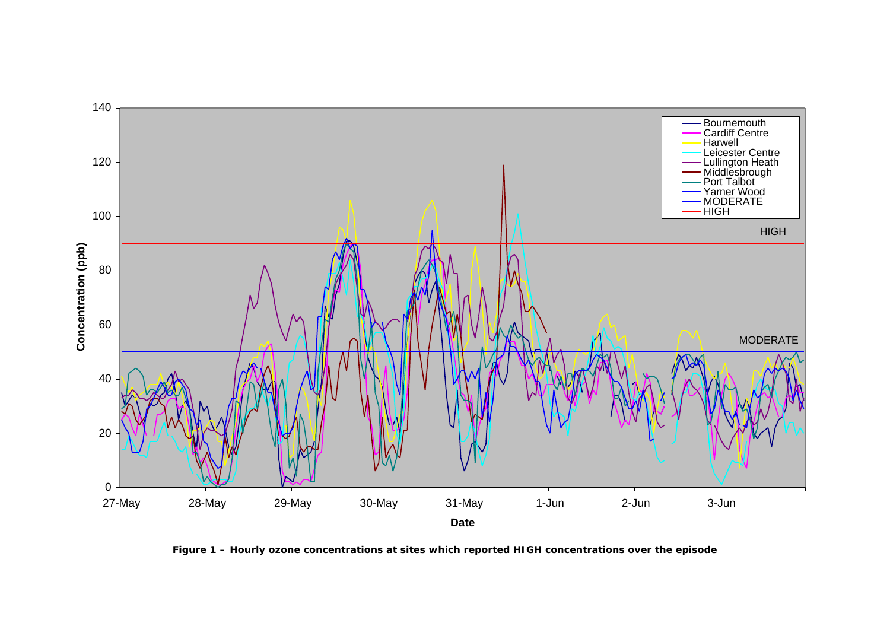

**Figure 1 – Hourly ozone concentrations at sites which reported HIGH concentrations over the episode**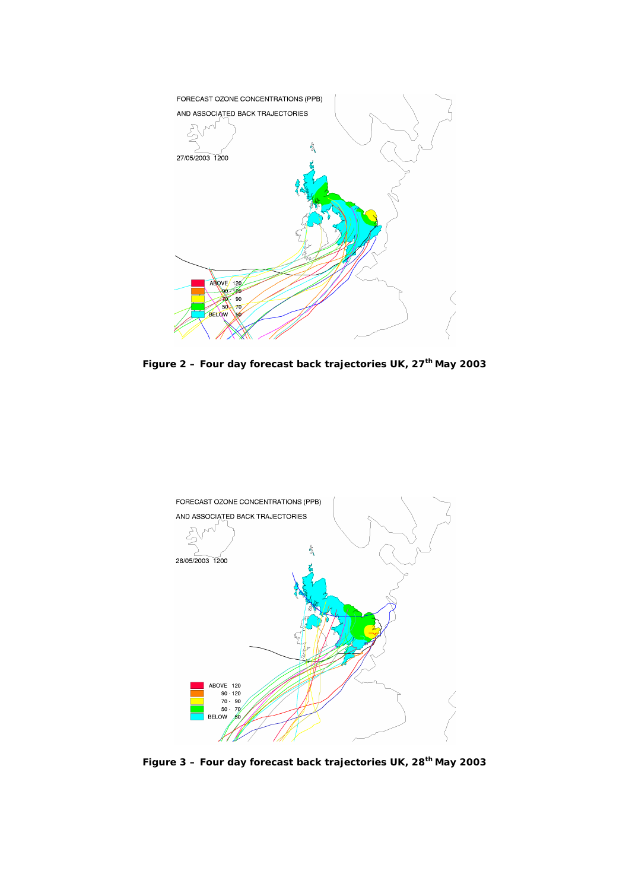

**Figure 2 – Four day forecast back trajectories UK, 27th May 2003**



**Figure 3 – Four day forecast back trajectories UK, 28th May 2003**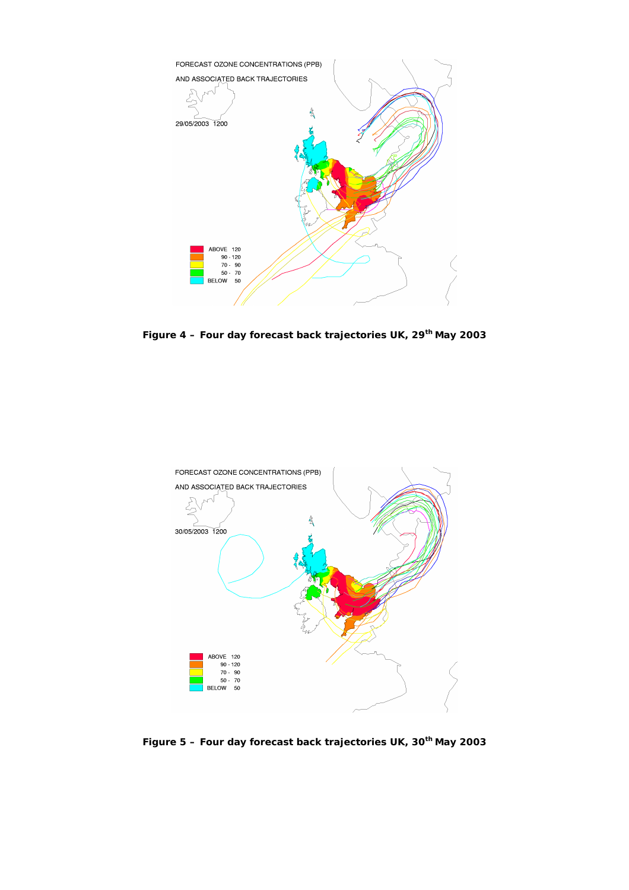

**Figure 4 – Four day forecast back trajectories UK, 29th May 2003**



**Figure 5 – Four day forecast back trajectories UK, 30th May 2003**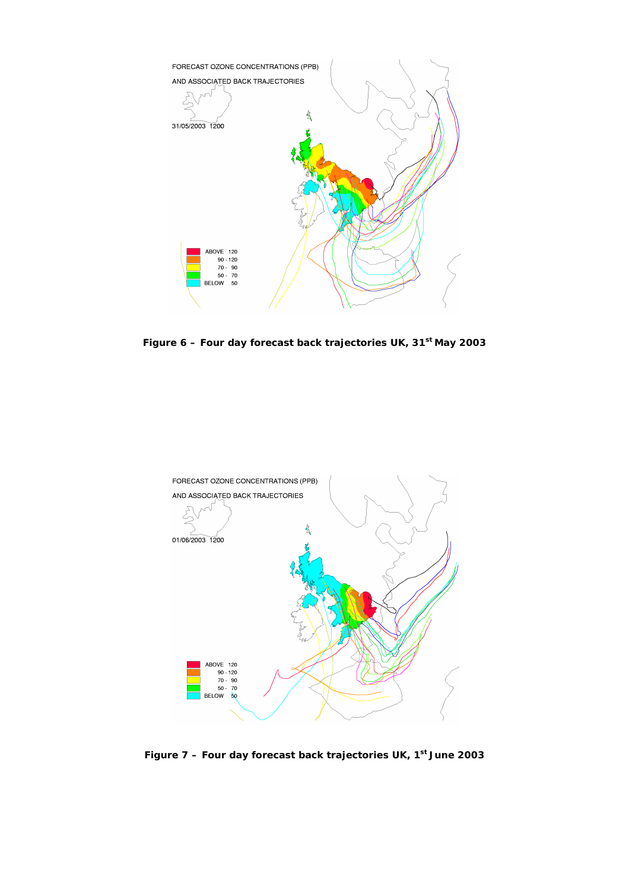

**Figure 6 – Four day forecast back trajectories UK, 31st May 2003**



**Figure 7 – Four day forecast back trajectories UK, 1st June 2003**